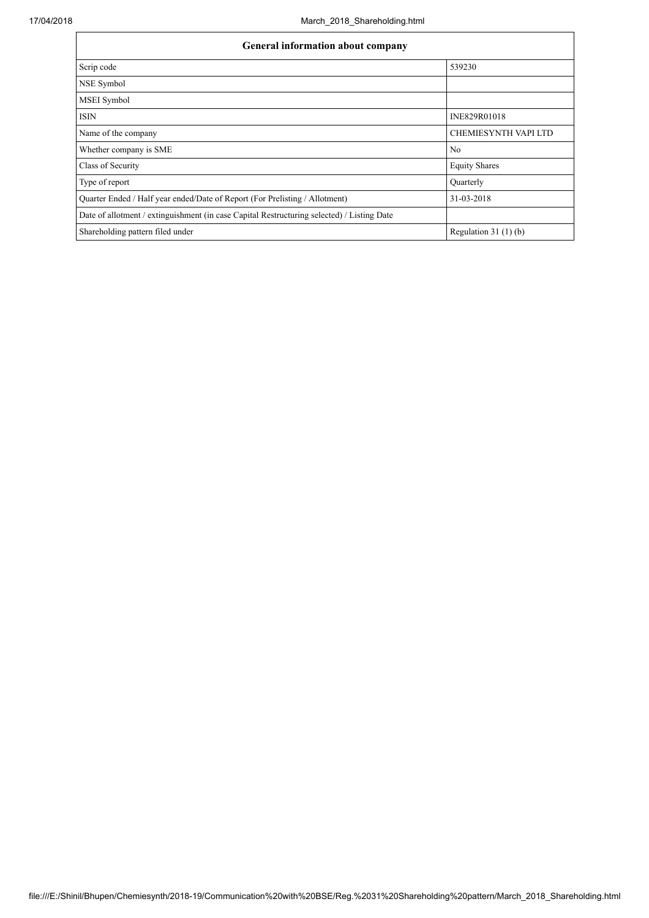| <b>General information about company</b>                                                   |                             |  |  |  |  |  |  |  |
|--------------------------------------------------------------------------------------------|-----------------------------|--|--|--|--|--|--|--|
| Scrip code                                                                                 | 539230                      |  |  |  |  |  |  |  |
| NSE Symbol                                                                                 |                             |  |  |  |  |  |  |  |
| <b>MSEI</b> Symbol                                                                         |                             |  |  |  |  |  |  |  |
| <b>ISIN</b>                                                                                | INE829R01018                |  |  |  |  |  |  |  |
| Name of the company                                                                        | <b>CHEMIESYNTH VAPI LTD</b> |  |  |  |  |  |  |  |
| Whether company is SME                                                                     | N <sub>0</sub>              |  |  |  |  |  |  |  |
| Class of Security                                                                          | <b>Equity Shares</b>        |  |  |  |  |  |  |  |
| Type of report                                                                             | Quarterly                   |  |  |  |  |  |  |  |
| Quarter Ended / Half year ended/Date of Report (For Prelisting / Allotment)                | 31-03-2018                  |  |  |  |  |  |  |  |
| Date of allotment / extinguishment (in case Capital Restructuring selected) / Listing Date |                             |  |  |  |  |  |  |  |
| Shareholding pattern filed under                                                           | Regulation $31(1)(b)$       |  |  |  |  |  |  |  |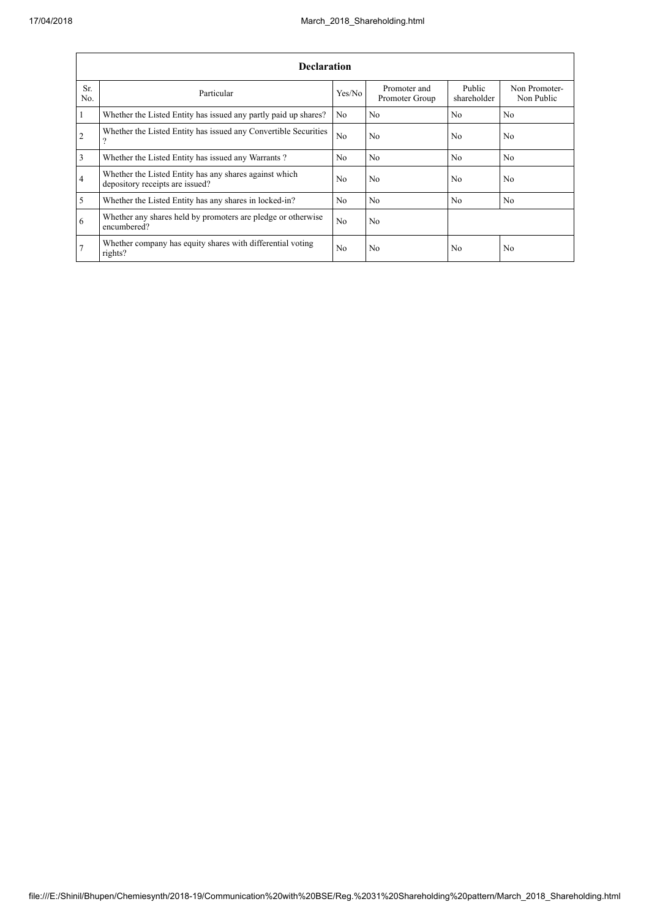|                | <b>Declaration</b>                                                                        |                |                                |                       |                             |
|----------------|-------------------------------------------------------------------------------------------|----------------|--------------------------------|-----------------------|-----------------------------|
| Sr.<br>No.     | Particular                                                                                | Yes/No         | Promoter and<br>Promoter Group | Public<br>shareholder | Non Promoter-<br>Non Public |
| $\mathbf{1}$   | Whether the Listed Entity has issued any partly paid up shares?                           | N <sub>0</sub> | No                             | N <sub>0</sub>        | No                          |
| $\overline{2}$ | Whether the Listed Entity has issued any Convertible Securities<br>റ                      | N <sub>o</sub> | No                             | N <sub>0</sub>        | No                          |
| $\overline{3}$ | Whether the Listed Entity has issued any Warrants?                                        | N <sub>0</sub> | No                             | N <sub>0</sub>        | N <sub>0</sub>              |
| $\overline{4}$ | Whether the Listed Entity has any shares against which<br>depository receipts are issued? | N <sub>o</sub> | No                             | N <sub>0</sub>        | N <sub>0</sub>              |
| $\overline{5}$ | Whether the Listed Entity has any shares in locked-in?                                    | N <sub>o</sub> | No                             | N <sub>0</sub>        | N <sub>0</sub>              |
| 6              | Whether any shares held by promoters are pledge or otherwise<br>encumbered?               | N <sub>o</sub> | No.                            |                       |                             |
| 7              | Whether company has equity shares with differential voting<br>rights?                     | N <sub>0</sub> | No                             | N <sub>0</sub>        | No                          |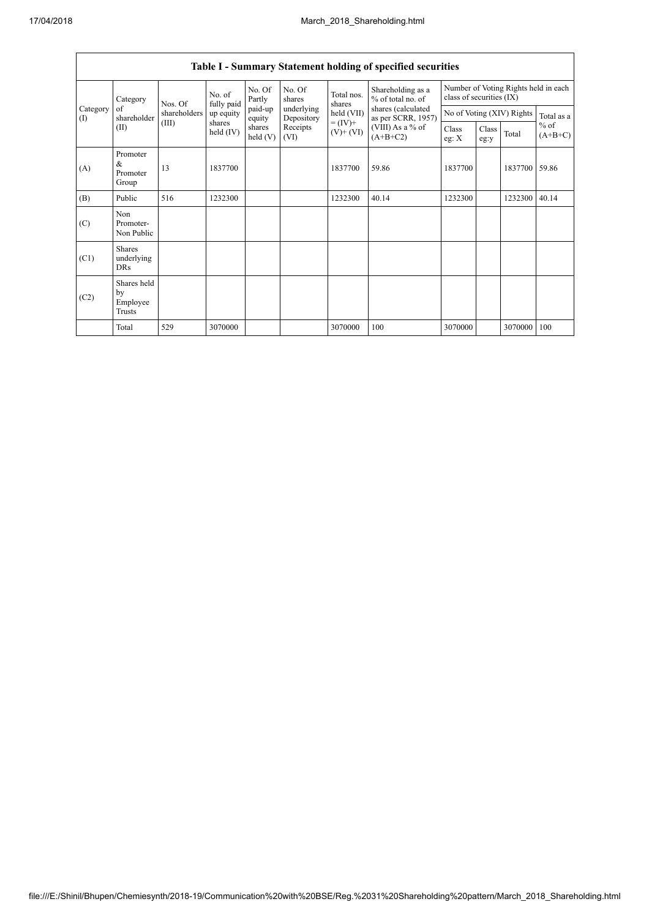|                                                |                                           |                                    |                      |                          |                          |                                          | Table I - Summary Statement holding of specified securities |               |                                                                  |                     |       |  |
|------------------------------------------------|-------------------------------------------|------------------------------------|----------------------|--------------------------|--------------------------|------------------------------------------|-------------------------------------------------------------|---------------|------------------------------------------------------------------|---------------------|-------|--|
|                                                | Category                                  | Nos. Of                            | No. of<br>fully paid | No. Of<br>Partly         | No. Of<br>shares         | Total nos.<br>shares                     | Shareholding as a<br>% of total no. of                      |               | Number of Voting Rights held in each<br>class of securities (IX) |                     |       |  |
| Category<br>of<br>shareholder<br>$($ I<br>(II) | shareholders                              | up equity<br>shares<br>held $(IV)$ | paid-up<br>equity    | underlying<br>Depository | held (VII)               | shares (calculated<br>as per SCRR, 1957) |                                                             |               | No of Voting (XIV) Rights                                        | Total as a          |       |  |
|                                                | (III)                                     |                                    | shares<br>held(V)    | Receipts<br>(VI)         | $= (IV) +$<br>$(V)+(VI)$ | (VIII) As a % of<br>$(A+B+C2)$           | Class<br>eg: $X$                                            | Class<br>eg:y | Total                                                            | $%$ of<br>$(A+B+C)$ |       |  |
| (A)                                            | Promoter<br>&<br>Promoter<br>Group        | 13                                 | 1837700              |                          |                          | 1837700                                  | 59.86                                                       | 1837700       |                                                                  | 1837700             | 59.86 |  |
| (B)                                            | Public                                    | 516                                | 1232300              |                          |                          | 1232300                                  | 40.14                                                       | 1232300       |                                                                  | 1232300             | 40.14 |  |
| (C)                                            | Non<br>Promoter-<br>Non Public            |                                    |                      |                          |                          |                                          |                                                             |               |                                                                  |                     |       |  |
| (C1)                                           | <b>Shares</b><br>underlying<br><b>DRs</b> |                                    |                      |                          |                          |                                          |                                                             |               |                                                                  |                     |       |  |
| (C2)                                           | Shares held<br>by<br>Employee<br>Trusts   |                                    |                      |                          |                          |                                          |                                                             |               |                                                                  |                     |       |  |
|                                                | Total                                     | 529                                | 3070000              |                          |                          | 3070000                                  | 100                                                         | 3070000       |                                                                  | 3070000             | 100   |  |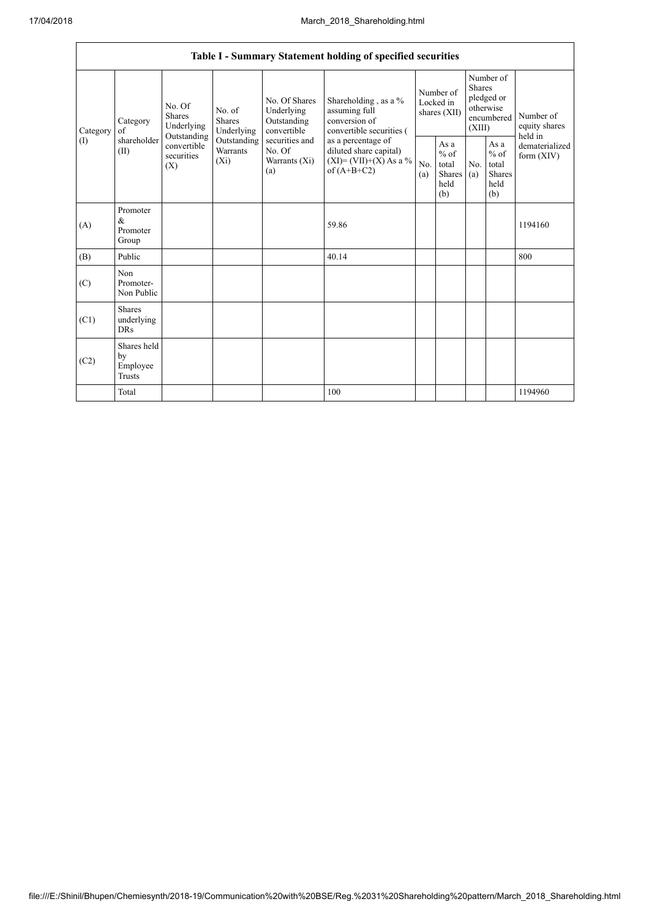|                               |                                                                                                                     |                                    |                                                  |                                                                                            | Table I - Summary Statement holding of specified securities                            |                                                   |            |                                                                               |                                |                                       |
|-------------------------------|---------------------------------------------------------------------------------------------------------------------|------------------------------------|--------------------------------------------------|--------------------------------------------------------------------------------------------|----------------------------------------------------------------------------------------|---------------------------------------------------|------------|-------------------------------------------------------------------------------|--------------------------------|---------------------------------------|
| Category<br>of<br>(1)<br>(II) | No. Of<br><b>Shares</b><br>Category<br>Underlying<br>Outstanding<br>shareholder<br>convertible<br>securities<br>(X) |                                    | No. of<br>Shares<br>Underlying                   | No. Of Shares<br>Underlying<br>Outstanding<br>convertible                                  | Shareholding , as a $\%$<br>assuming full<br>conversion of<br>convertible securities ( | Number of<br>Locked in<br>shares (XII)            |            | Number of<br><b>Shares</b><br>pledged or<br>otherwise<br>encumbered<br>(XIII) |                                | Number of<br>equity shares<br>held in |
|                               |                                                                                                                     | Outstanding<br>Warrants<br>$(X_i)$ | securities and<br>No. Of<br>Warrants (Xi)<br>(a) | as a percentage of<br>diluted share capital)<br>$(XI) = (VII)+(X) As a %$<br>of $(A+B+C2)$ | No.<br>(a)                                                                             | As a<br>$\%$ of<br>total<br>Shares<br>held<br>(b) | No.<br>(a) | As a<br>$%$ of<br>total<br><b>Shares</b><br>held<br>(b)                       | dematerialized<br>form $(XIV)$ |                                       |
| (A)                           | Promoter<br>$\&$<br>Promoter<br>Group                                                                               |                                    |                                                  |                                                                                            | 59.86                                                                                  |                                                   |            |                                                                               |                                | 1194160                               |
| (B)                           | Public                                                                                                              |                                    |                                                  |                                                                                            | 40.14                                                                                  |                                                   |            |                                                                               |                                | 800                                   |
| (C)                           | Non<br>Promoter-<br>Non Public                                                                                      |                                    |                                                  |                                                                                            |                                                                                        |                                                   |            |                                                                               |                                |                                       |
| (C1)                          | <b>Shares</b><br>underlying<br><b>DRs</b>                                                                           |                                    |                                                  |                                                                                            |                                                                                        |                                                   |            |                                                                               |                                |                                       |
| (C2)                          | Shares held<br>by<br>Employee<br><b>Trusts</b>                                                                      |                                    |                                                  |                                                                                            |                                                                                        |                                                   |            |                                                                               |                                |                                       |
|                               | Total                                                                                                               |                                    |                                                  |                                                                                            | 100                                                                                    |                                                   |            |                                                                               |                                | 1194960                               |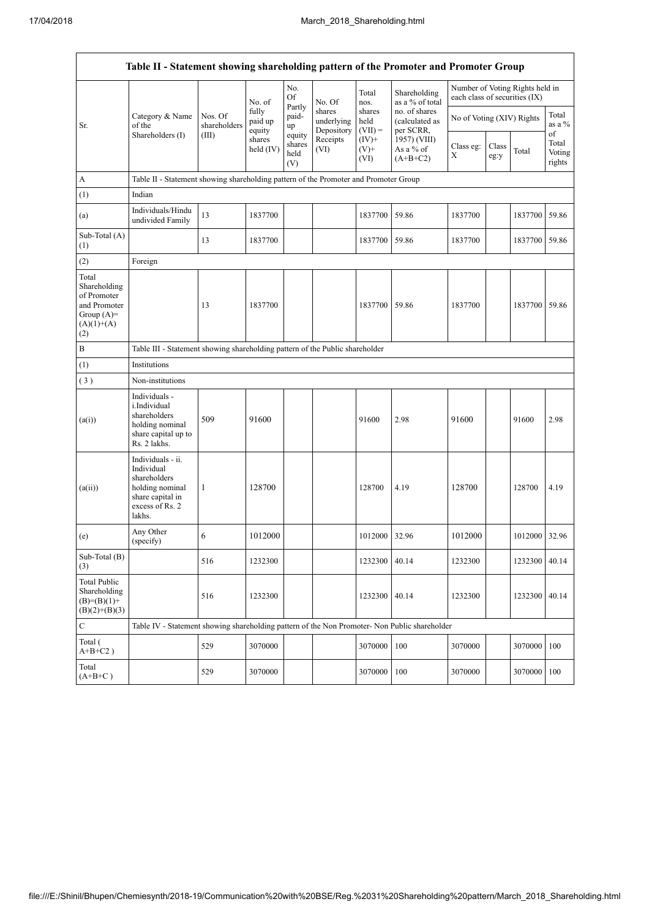$\overline{1}$ 

 $\overline{\mathsf{I}}$ 

|                                                                                             | Table II - Statement showing shareholding pattern of the Promoter and Promoter Group                                |                                                                              |                            |                                 |                                    |                             |                                              |                               |               |                                 |                           |  |
|---------------------------------------------------------------------------------------------|---------------------------------------------------------------------------------------------------------------------|------------------------------------------------------------------------------|----------------------------|---------------------------------|------------------------------------|-----------------------------|----------------------------------------------|-------------------------------|---------------|---------------------------------|---------------------------|--|
|                                                                                             |                                                                                                                     |                                                                              | No. of                     | No.<br>Of                       | No. Of                             | Total<br>nos.               | Shareholding<br>as a % of total              | each class of securities (IX) |               | Number of Voting Rights held in |                           |  |
| Sr.                                                                                         | Category & Name<br>of the<br>Shareholders (I)                                                                       | Nos. Of<br>shareholders                                                      | fully<br>paid up<br>equity | Partly<br>paid-<br>up           | shares<br>underlying<br>Depository | shares<br>held<br>$(VII) =$ | no. of shares<br>(calculated as<br>per SCRR, | No of Voting (XIV) Rights     |               |                                 | Total<br>as a %<br>of     |  |
|                                                                                             |                                                                                                                     | (III)                                                                        | shares<br>held (IV)        | equity<br>shares<br>held<br>(V) | Receipts<br>(VI)                   | $(IV)+$<br>$(V)$ +<br>(VI)  | 1957) (VIII)<br>As a % of<br>$(A+B+C2)$      | Class eg:<br>X                | Class<br>eg:y | Total                           | Total<br>Voting<br>rights |  |
| A                                                                                           | Table II - Statement showing shareholding pattern of the Promoter and Promoter Group                                |                                                                              |                            |                                 |                                    |                             |                                              |                               |               |                                 |                           |  |
| (1)                                                                                         | Indian                                                                                                              |                                                                              |                            |                                 |                                    |                             |                                              |                               |               |                                 |                           |  |
| (a)                                                                                         | Individuals/Hindu<br>undivided Family                                                                               | 13                                                                           | 1837700                    |                                 |                                    | 1837700                     | 59.86                                        | 1837700                       |               | 1837700 59.86                   |                           |  |
| Sub-Total (A)<br>(1)                                                                        |                                                                                                                     | 13                                                                           | 1837700                    |                                 |                                    | 1837700                     | 59.86                                        | 1837700                       |               | 1837700 59.86                   |                           |  |
| (2)                                                                                         | Foreign                                                                                                             |                                                                              |                            |                                 |                                    |                             |                                              |                               |               |                                 |                           |  |
| Total<br>Shareholding<br>of Promoter<br>and Promoter<br>Group $(A)=$<br>$(A)(1)+(A)$<br>(2) |                                                                                                                     | 13                                                                           | 1837700                    |                                 |                                    | 1837700                     | 59.86                                        | 1837700                       |               | 1837700 59.86                   |                           |  |
| $\, {\bf B}$                                                                                |                                                                                                                     | Table III - Statement showing shareholding pattern of the Public shareholder |                            |                                 |                                    |                             |                                              |                               |               |                                 |                           |  |
| (1)                                                                                         | Institutions                                                                                                        |                                                                              |                            |                                 |                                    |                             |                                              |                               |               |                                 |                           |  |
| (3)                                                                                         | Non-institutions                                                                                                    |                                                                              |                            |                                 |                                    |                             |                                              |                               |               |                                 |                           |  |
| (a(i))                                                                                      | Individuals -<br>i.Individual<br>shareholders<br>holding nominal<br>share capital up to<br>Rs. 2 lakhs.             | 509                                                                          | 91600                      |                                 |                                    | 91600                       | 2.98                                         | 91600                         |               | 91600                           | 2.98                      |  |
| (a(ii))                                                                                     | Individuals - ii.<br>Individual<br>shareholders<br>holding nominal<br>share capital in<br>excess of Rs. 2<br>lakhs. | 1                                                                            | 128700                     |                                 |                                    | 128700                      | 4.19                                         | 128700                        |               | 128700                          | 4.19                      |  |
| (e)                                                                                         | Any Other<br>(specify)                                                                                              | 6                                                                            | 1012000                    |                                 |                                    | 1012000                     | 32.96                                        | 1012000                       |               | 1012000 32.96                   |                           |  |
| Sub-Total (B)<br>(3)                                                                        |                                                                                                                     | 516                                                                          | 1232300                    |                                 |                                    | 1232300                     | 40.14                                        | 1232300                       |               | 1232300 40.14                   |                           |  |
| <b>Total Public</b><br>Shareholding<br>$(B)=(B)(1)+$<br>$(B)(2)+(B)(3)$                     |                                                                                                                     | 516                                                                          | 1232300                    |                                 |                                    | 1232300                     | 40.14                                        | 1232300                       |               | 1232300                         | 40.14                     |  |
| $\mathbf C$                                                                                 | Table IV - Statement showing shareholding pattern of the Non Promoter- Non Public shareholder                       |                                                                              |                            |                                 |                                    |                             |                                              |                               |               |                                 |                           |  |
| Total (<br>$A+B+C2$ )                                                                       |                                                                                                                     | 529                                                                          | 3070000                    |                                 |                                    | 3070000                     | 100                                          | 3070000                       |               | 3070000 100                     |                           |  |
| Total<br>$(A+B+C)$                                                                          |                                                                                                                     | 529                                                                          | 3070000                    |                                 |                                    | 3070000                     | 100                                          | 3070000                       |               | 3070000                         | 100                       |  |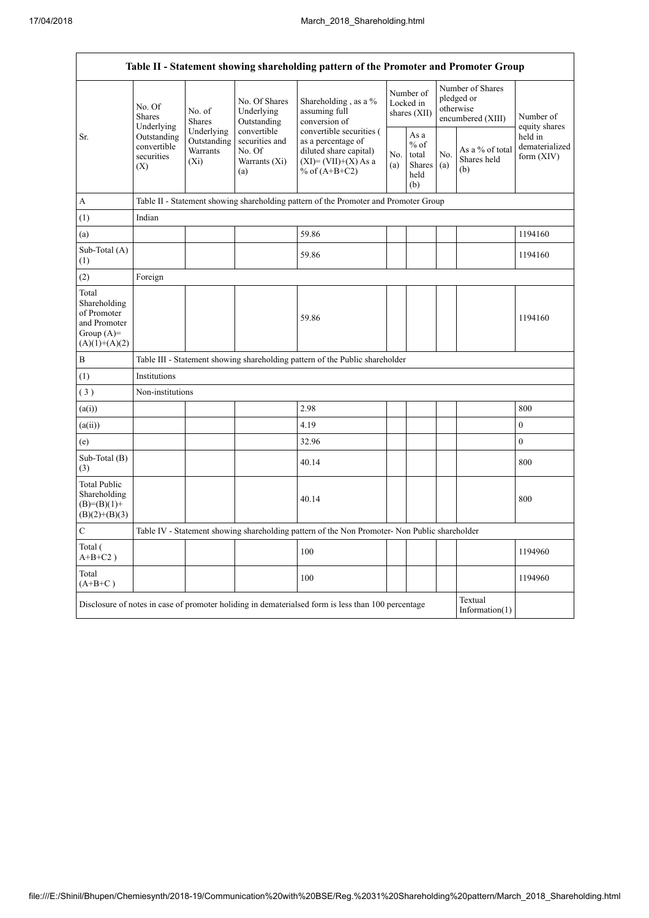$\overline{1}$ 

 $\overline{\mathsf{I}}$ 

|                                                                                         |                                                                                                                                    |                                                  |                                                                 | Table II - Statement showing shareholding pattern of the Promoter and Promoter Group                                   |            |                                                  |            |                                                                  |                                         |  |  |  |
|-----------------------------------------------------------------------------------------|------------------------------------------------------------------------------------------------------------------------------------|--------------------------------------------------|-----------------------------------------------------------------|------------------------------------------------------------------------------------------------------------------------|------------|--------------------------------------------------|------------|------------------------------------------------------------------|-----------------------------------------|--|--|--|
|                                                                                         | No. Of<br><b>Shares</b><br>Underlying                                                                                              | No. of<br><b>Shares</b>                          | No. Of Shares<br>Underlying<br>Outstanding                      | Shareholding, as a %<br>assuming full<br>conversion of                                                                 |            | Number of<br>Locked in<br>shares (XII)           |            | Number of Shares<br>pledged or<br>otherwise<br>encumbered (XIII) | Number of<br>equity shares              |  |  |  |
| Sr.                                                                                     | Outstanding<br>convertible<br>securities<br>(X)                                                                                    | Underlying<br>Outstanding<br>Warrants<br>$(X_i)$ | convertible<br>securities and<br>No. Of<br>Warrants (Xi)<br>(a) | convertible securities (<br>as a percentage of<br>diluted share capital)<br>$(XI) = (VII)+(X) As a$<br>% of $(A+B+C2)$ | No.<br>(a) | As a<br>$%$ of<br>total<br>Shares<br>held<br>(b) | No.<br>(a) | As a % of total<br>Shares held<br>(b)                            | held in<br>dematerialized<br>form (XIV) |  |  |  |
| A                                                                                       |                                                                                                                                    |                                                  |                                                                 | Table II - Statement showing shareholding pattern of the Promoter and Promoter Group                                   |            |                                                  |            |                                                                  |                                         |  |  |  |
| (1)                                                                                     | Indian                                                                                                                             |                                                  |                                                                 |                                                                                                                        |            |                                                  |            |                                                                  |                                         |  |  |  |
| (a)                                                                                     |                                                                                                                                    |                                                  |                                                                 | 59.86                                                                                                                  |            |                                                  |            |                                                                  | 1194160                                 |  |  |  |
| Sub-Total (A)<br>(1)                                                                    |                                                                                                                                    |                                                  |                                                                 | 59.86                                                                                                                  |            |                                                  |            |                                                                  | 1194160                                 |  |  |  |
| (2)                                                                                     | Foreign                                                                                                                            |                                                  |                                                                 |                                                                                                                        |            |                                                  |            |                                                                  |                                         |  |  |  |
| Total<br>Shareholding<br>of Promoter<br>and Promoter<br>Group $(A)=$<br>$(A)(1)+(A)(2)$ |                                                                                                                                    |                                                  |                                                                 | 59.86                                                                                                                  |            |                                                  |            |                                                                  | 1194160                                 |  |  |  |
| $\, {\bf B}$                                                                            |                                                                                                                                    |                                                  |                                                                 | Table III - Statement showing shareholding pattern of the Public shareholder                                           |            |                                                  |            |                                                                  |                                         |  |  |  |
| (1)                                                                                     | Institutions                                                                                                                       |                                                  |                                                                 |                                                                                                                        |            |                                                  |            |                                                                  |                                         |  |  |  |
| (3)                                                                                     | Non-institutions                                                                                                                   |                                                  |                                                                 |                                                                                                                        |            |                                                  |            |                                                                  |                                         |  |  |  |
| (a(i))                                                                                  |                                                                                                                                    |                                                  |                                                                 | 2.98                                                                                                                   |            |                                                  |            |                                                                  | 800                                     |  |  |  |
| (a(ii))                                                                                 |                                                                                                                                    |                                                  |                                                                 | 4.19                                                                                                                   |            |                                                  |            |                                                                  | $\boldsymbol{0}$                        |  |  |  |
| (e)                                                                                     |                                                                                                                                    |                                                  |                                                                 | 32.96                                                                                                                  |            |                                                  |            |                                                                  | $\mathbf{0}$                            |  |  |  |
| Sub-Total (B)<br>(3)                                                                    |                                                                                                                                    |                                                  |                                                                 | 40.14                                                                                                                  |            |                                                  |            |                                                                  | 800                                     |  |  |  |
| <b>Total Public</b><br>Shareholding<br>$(B)= (B)(1) +$<br>$(B)(2)+(B)(3)$               |                                                                                                                                    |                                                  |                                                                 | 40.14                                                                                                                  |            |                                                  |            |                                                                  | 800                                     |  |  |  |
| $\mathcal{C}$                                                                           | Table IV - Statement showing shareholding pattern of the Non Promoter- Non Public shareholder                                      |                                                  |                                                                 |                                                                                                                        |            |                                                  |            |                                                                  |                                         |  |  |  |
| Total (<br>$A+B+C2$ )                                                                   |                                                                                                                                    |                                                  |                                                                 | 100                                                                                                                    |            |                                                  |            |                                                                  | 1194960                                 |  |  |  |
| Total<br>$(A+B+C)$                                                                      |                                                                                                                                    |                                                  |                                                                 | 100                                                                                                                    |            |                                                  |            |                                                                  | 1194960                                 |  |  |  |
|                                                                                         | Textual<br>Disclosure of notes in case of promoter holiding in dematerialsed form is less than 100 percentage<br>Information $(1)$ |                                                  |                                                                 |                                                                                                                        |            |                                                  |            |                                                                  |                                         |  |  |  |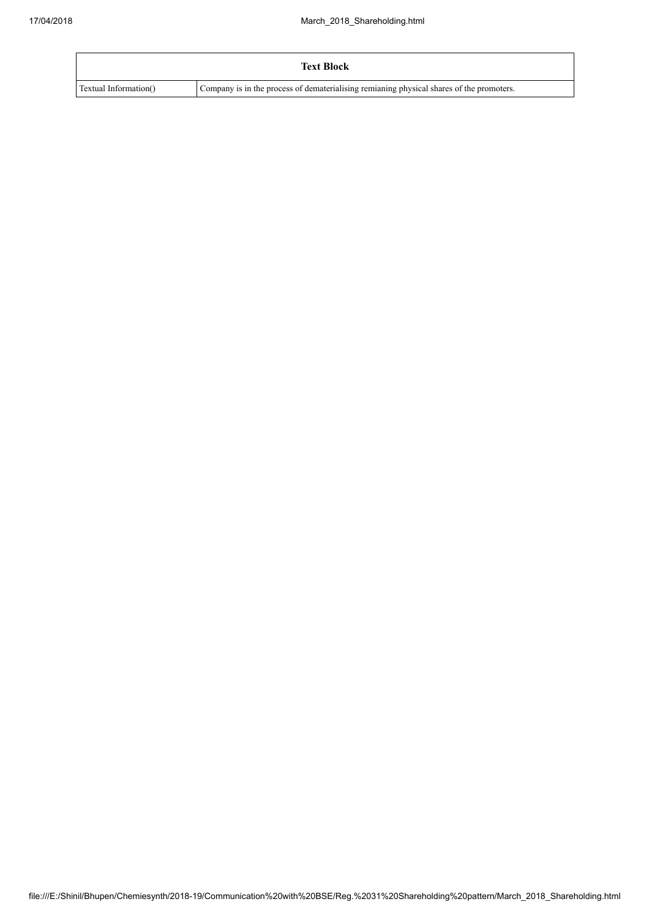|                       | <b>Text Block</b>                                                                        |
|-----------------------|------------------------------------------------------------------------------------------|
| Textual Information() | Company is in the process of dematerialising remianing physical shares of the promoters. |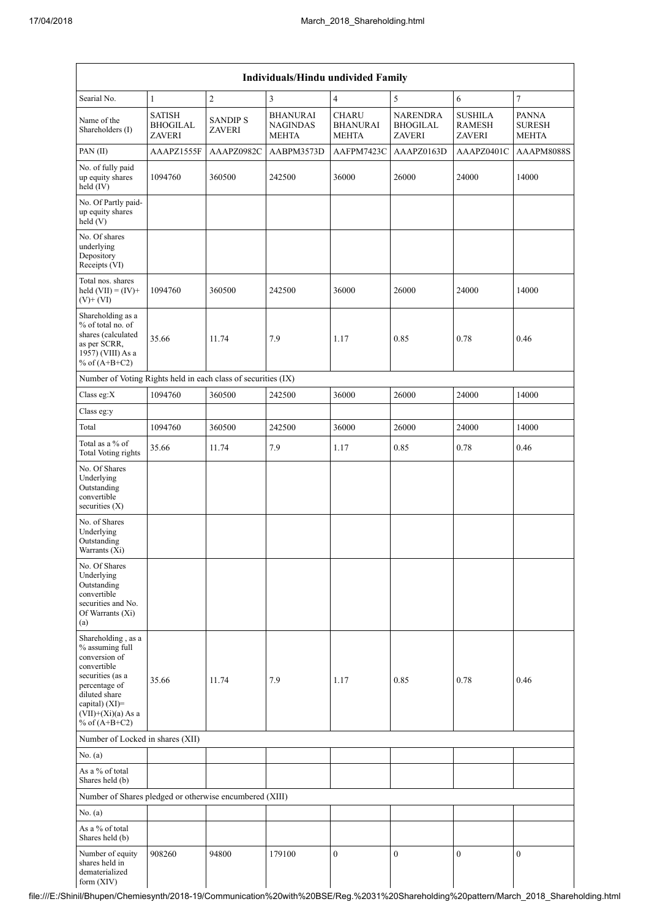|                                                                                                                                                                                          | Individuals/Hindu undivided Family                |                                 |                                                    |                                                 |                                                     |                                                  |                                               |  |  |
|------------------------------------------------------------------------------------------------------------------------------------------------------------------------------------------|---------------------------------------------------|---------------------------------|----------------------------------------------------|-------------------------------------------------|-----------------------------------------------------|--------------------------------------------------|-----------------------------------------------|--|--|
| Searial No.                                                                                                                                                                              | $\mathbf{1}$                                      | $\sqrt{2}$                      | 3                                                  | $\overline{4}$                                  | 5                                                   | 6                                                | $\sqrt{ }$                                    |  |  |
| Name of the<br>Shareholders (I)                                                                                                                                                          | <b>SATISH</b><br><b>BHOGILAL</b><br><b>ZAVERI</b> | <b>SANDIPS</b><br><b>ZAVERI</b> | <b>BHANURAI</b><br><b>NAGINDAS</b><br><b>MEHTA</b> | <b>CHARU</b><br><b>BHANURAI</b><br><b>MEHTA</b> | <b>NARENDRA</b><br><b>BHOGILAL</b><br><b>ZAVERI</b> | <b>SUSHILA</b><br><b>RAMESH</b><br><b>ZAVERI</b> | <b>PANNA</b><br><b>SURESH</b><br><b>MEHTA</b> |  |  |
| PAN(II)                                                                                                                                                                                  | AAAPZ1555F                                        | AAAPZ0982C                      | AABPM3573D                                         | AAFPM7423C                                      | AAAPZ0163D                                          | AAAPZ0401C                                       | AAAPM8088S                                    |  |  |
| No. of fully paid<br>up equity shares<br>held (IV)                                                                                                                                       | 1094760                                           | 360500                          | 242500                                             | 36000                                           | 26000                                               | 24000                                            | 14000                                         |  |  |
| No. Of Partly paid-<br>up equity shares<br>held(V)                                                                                                                                       |                                                   |                                 |                                                    |                                                 |                                                     |                                                  |                                               |  |  |
| No. Of shares<br>underlying<br>Depository<br>Receipts (VI)                                                                                                                               |                                                   |                                 |                                                    |                                                 |                                                     |                                                  |                                               |  |  |
| Total nos, shares<br>held $(VII) = (IV) +$<br>$(V)$ + $(VI)$                                                                                                                             | 1094760                                           | 360500                          | 242500                                             | 36000                                           | 26000                                               | 24000                                            | 14000                                         |  |  |
| Shareholding as a<br>% of total no. of<br>shares (calculated<br>as per SCRR,<br>1957) (VIII) As a<br>% of $(A+B+C2)$                                                                     | 35.66                                             | 11.74                           | 7.9                                                | 1.17                                            | 0.85                                                | 0.78                                             | 0.46                                          |  |  |
| Number of Voting Rights held in each class of securities (IX)                                                                                                                            |                                                   |                                 |                                                    |                                                 |                                                     |                                                  |                                               |  |  |
| Class eg: $X$                                                                                                                                                                            | 1094760                                           | 360500                          | 242500                                             | 36000                                           | 26000                                               | 24000                                            | 14000                                         |  |  |
| Class eg:y                                                                                                                                                                               |                                                   |                                 |                                                    |                                                 |                                                     |                                                  |                                               |  |  |
| Total                                                                                                                                                                                    | 1094760                                           | 360500                          | 242500                                             | 36000                                           | 26000                                               | 24000                                            | 14000                                         |  |  |
| Total as a % of<br><b>Total Voting rights</b>                                                                                                                                            | 35.66                                             | 11.74                           | 7.9                                                | 1.17                                            | 0.85                                                | 0.78                                             | 0.46                                          |  |  |
| No. Of Shares<br>Underlying<br>Outstanding<br>convertible<br>securities (X)                                                                                                              |                                                   |                                 |                                                    |                                                 |                                                     |                                                  |                                               |  |  |
| No. of Shares<br>Underlying<br>Outstanding<br>Warrants (Xi)                                                                                                                              |                                                   |                                 |                                                    |                                                 |                                                     |                                                  |                                               |  |  |
| No. Of Shares<br>Underlying<br>Outstanding<br>convertible<br>securities and No.<br>Of Warrants (Xi)<br>(a)                                                                               |                                                   |                                 |                                                    |                                                 |                                                     |                                                  |                                               |  |  |
| Shareholding, as a<br>% assuming full<br>conversion of<br>convertible<br>securities (as a<br>percentage of<br>diluted share<br>capital) (XI)=<br>$(VII)+(Xi)(a)$ As a<br>% of $(A+B+C2)$ | 35.66                                             | 11.74                           | 7.9                                                | 1.17                                            | 0.85                                                | 0.78                                             | 0.46                                          |  |  |
| Number of Locked in shares (XII)                                                                                                                                                         |                                                   |                                 |                                                    |                                                 |                                                     |                                                  |                                               |  |  |
| No. (a)                                                                                                                                                                                  |                                                   |                                 |                                                    |                                                 |                                                     |                                                  |                                               |  |  |
| As a % of total<br>Shares held (b)                                                                                                                                                       |                                                   |                                 |                                                    |                                                 |                                                     |                                                  |                                               |  |  |
| Number of Shares pledged or otherwise encumbered (XIII)                                                                                                                                  |                                                   |                                 |                                                    |                                                 |                                                     |                                                  |                                               |  |  |
| No. (a)                                                                                                                                                                                  |                                                   |                                 |                                                    |                                                 |                                                     |                                                  |                                               |  |  |
| As a % of total<br>Shares held (b)                                                                                                                                                       |                                                   |                                 |                                                    |                                                 |                                                     |                                                  |                                               |  |  |
| Number of equity<br>shares held in<br>dematerialized<br>form (XIV)                                                                                                                       | 908260                                            | 94800                           | 179100                                             | $\mathbf{0}$                                    | $\mathbf{0}$                                        | $\mathbf{0}$                                     | $\mathbf{0}$                                  |  |  |

file:///E:/Shinil/Bhupen/Chemiesynth/2018-19/Communication%20with%20BSE/Reg.%2031%20Shareholding%20pattern/March\_2018\_Shareholding.html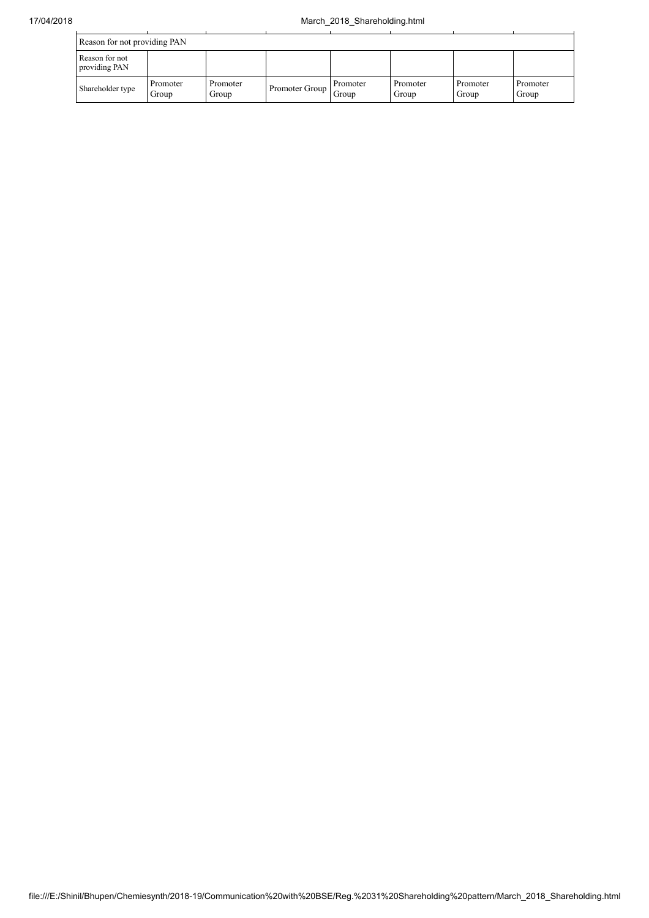| Reason for not providing PAN    |                   |                   |                |                   |                   |                   |                   |  |
|---------------------------------|-------------------|-------------------|----------------|-------------------|-------------------|-------------------|-------------------|--|
| Reason for not<br>providing PAN |                   |                   |                |                   |                   |                   |                   |  |
| Shareholder type                | Promoter<br>Group | Promoter<br>Group | Promoter Group | Promoter<br>Group | Promoter<br>Group | Promoter<br>Group | Promoter<br>Group |  |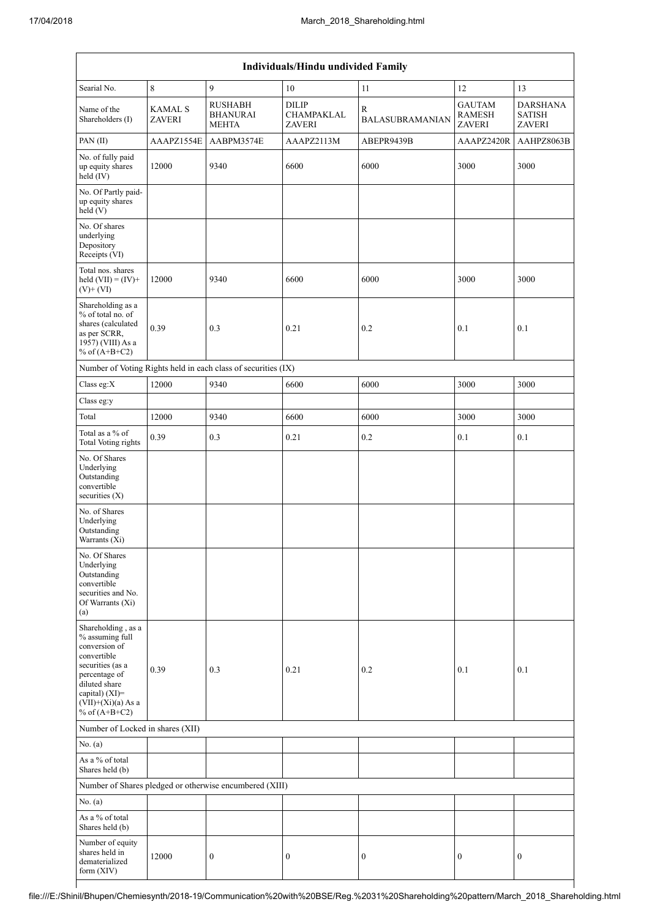| Individuals/Hindu undivided Family                                                                                                                                                       |                                 |                                                               |                                             |                             |                                                 |                                                   |  |  |  |
|------------------------------------------------------------------------------------------------------------------------------------------------------------------------------------------|---------------------------------|---------------------------------------------------------------|---------------------------------------------|-----------------------------|-------------------------------------------------|---------------------------------------------------|--|--|--|
| Searial No.                                                                                                                                                                              | $\,8\,$                         | 9                                                             | 10                                          | 11                          | 12                                              | 13                                                |  |  |  |
| Name of the<br>Shareholders (I)                                                                                                                                                          | <b>KAMAL S</b><br><b>ZAVERI</b> | <b>RUSHABH</b><br><b>BHANURAI</b><br><b>MEHTA</b>             | <b>DILIP</b><br>CHAMPAKLAL<br><b>ZAVERI</b> | R<br><b>BALASUBRAMANIAN</b> | <b>GAUTAM</b><br><b>RAMESH</b><br><b>ZAVERI</b> | <b>DARSHANA</b><br><b>SATISH</b><br><b>ZAVERI</b> |  |  |  |
| PAN(II)                                                                                                                                                                                  | AAAPZ1554E                      | AABPM3574E                                                    | AAAPZ2113M                                  | ABEPR9439B                  | AAAPZ2420R                                      | AAHPZ8063B                                        |  |  |  |
| No. of fully paid<br>up equity shares<br>$held$ (IV)                                                                                                                                     | 12000                           | 9340                                                          | 6600                                        | 6000                        | 3000                                            | 3000                                              |  |  |  |
| No. Of Partly paid-<br>up equity shares<br>held(V)                                                                                                                                       |                                 |                                                               |                                             |                             |                                                 |                                                   |  |  |  |
| No. Of shares<br>underlying<br>Depository<br>Receipts (VI)                                                                                                                               |                                 |                                                               |                                             |                             |                                                 |                                                   |  |  |  |
| Total nos. shares<br>held $(VII) = (IV) +$<br>$(V)$ + $(VI)$                                                                                                                             | 12000                           | 9340                                                          | 6600                                        | 6000                        | 3000                                            | 3000                                              |  |  |  |
| Shareholding as a<br>% of total no. of<br>shares (calculated<br>as per SCRR,<br>1957) (VIII) As a<br>% of $(A+B+C2)$                                                                     | 0.39                            | 0.3                                                           | 0.21                                        | 0.2                         | 0.1                                             | 0.1                                               |  |  |  |
|                                                                                                                                                                                          |                                 | Number of Voting Rights held in each class of securities (IX) |                                             |                             |                                                 |                                                   |  |  |  |
| Class eg:X                                                                                                                                                                               | 12000                           | 9340                                                          | 6600                                        | 6000                        | 3000                                            | 3000                                              |  |  |  |
| Class eg:y                                                                                                                                                                               |                                 |                                                               |                                             |                             |                                                 |                                                   |  |  |  |
| Total                                                                                                                                                                                    | 12000                           | 9340                                                          | 6600                                        | 6000                        | 3000                                            | 3000                                              |  |  |  |
| Total as a % of<br><b>Total Voting rights</b>                                                                                                                                            | 0.39                            | 0.3                                                           | 0.21                                        | 0.2                         | 0.1                                             | 0.1                                               |  |  |  |
| No. Of Shares<br>Underlying<br>Outstanding<br>convertible<br>securities $(X)$                                                                                                            |                                 |                                                               |                                             |                             |                                                 |                                                   |  |  |  |
| No. of Shares<br>Underlying<br>Outstanding<br>Warrants $(Xi)$                                                                                                                            |                                 |                                                               |                                             |                             |                                                 |                                                   |  |  |  |
| No. Of Shares<br>Underlying<br>Outstanding<br>convertible<br>securities and No.<br>Of Warrants (Xi)<br>(a)                                                                               |                                 |                                                               |                                             |                             |                                                 |                                                   |  |  |  |
| Shareholding, as a<br>% assuming full<br>conversion of<br>convertible<br>securities (as a<br>percentage of<br>diluted share<br>capital) (XI)=<br>$(VII)+(Xi)(a)$ As a<br>% of $(A+B+C2)$ | 0.39                            | 0.3                                                           | 0.21                                        | 0.2                         | 0.1                                             | 0.1                                               |  |  |  |
| Number of Locked in shares (XII)                                                                                                                                                         |                                 |                                                               |                                             |                             |                                                 |                                                   |  |  |  |
| No. (a)                                                                                                                                                                                  |                                 |                                                               |                                             |                             |                                                 |                                                   |  |  |  |
| As a % of total<br>Shares held (b)                                                                                                                                                       |                                 |                                                               |                                             |                             |                                                 |                                                   |  |  |  |
|                                                                                                                                                                                          |                                 | Number of Shares pledged or otherwise encumbered (XIII)       |                                             |                             |                                                 |                                                   |  |  |  |
| No. (a)<br>As a % of total                                                                                                                                                               |                                 |                                                               |                                             |                             |                                                 |                                                   |  |  |  |
| Shares held (b)                                                                                                                                                                          |                                 |                                                               |                                             |                             |                                                 |                                                   |  |  |  |
| Number of equity<br>shares held in<br>dematerialized<br>form (XIV)                                                                                                                       | 12000                           | $\boldsymbol{0}$                                              | $\boldsymbol{0}$                            | 0                           | $\boldsymbol{0}$                                | $\boldsymbol{0}$                                  |  |  |  |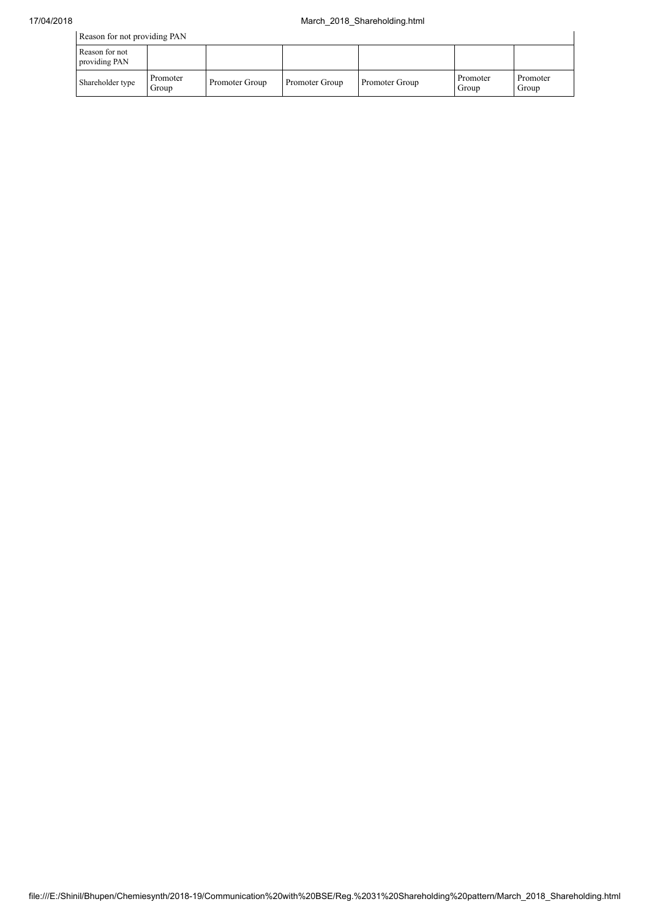| Reason for not providing PAN    |                   |                |                |                |                   |                   |  |
|---------------------------------|-------------------|----------------|----------------|----------------|-------------------|-------------------|--|
| Reason for not<br>providing PAN |                   |                |                |                |                   |                   |  |
| Shareholder type                | Promoter<br>Group | Promoter Group | Promoter Group | Promoter Group | Promoter<br>Group | Promoter<br>Group |  |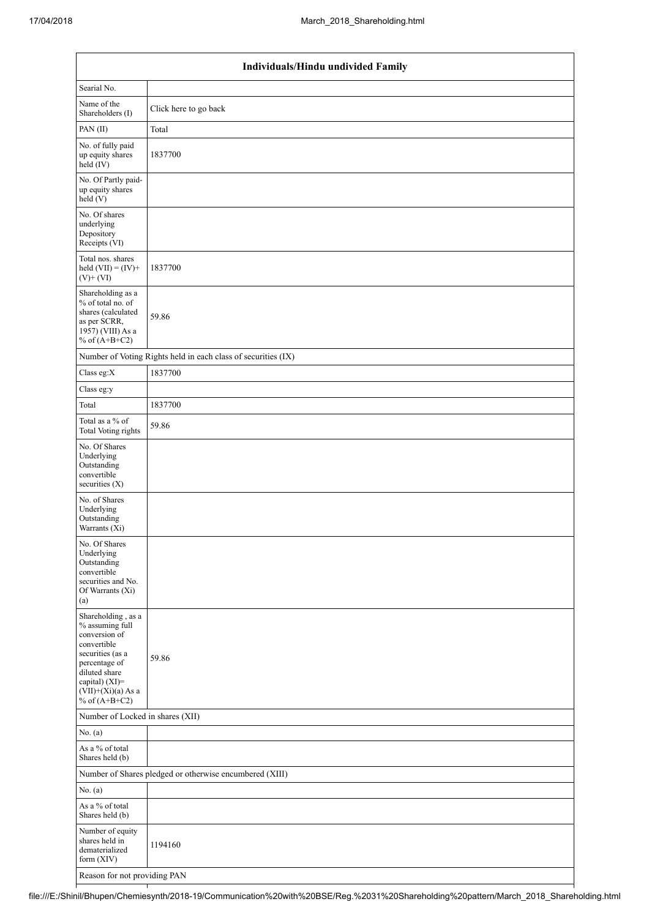| Individuals/Hindu undivided Family                                                                                                                                                          |                                                               |  |  |  |  |  |  |  |
|---------------------------------------------------------------------------------------------------------------------------------------------------------------------------------------------|---------------------------------------------------------------|--|--|--|--|--|--|--|
| Searial No.                                                                                                                                                                                 |                                                               |  |  |  |  |  |  |  |
| Name of the<br>Shareholders (I)                                                                                                                                                             | Click here to go back                                         |  |  |  |  |  |  |  |
| PAN(II)                                                                                                                                                                                     | Total                                                         |  |  |  |  |  |  |  |
| No. of fully paid<br>up equity shares<br>held (IV)                                                                                                                                          | 1837700                                                       |  |  |  |  |  |  |  |
| No. Of Partly paid-<br>up equity shares<br>held(V)                                                                                                                                          |                                                               |  |  |  |  |  |  |  |
| No. Of shares<br>underlying<br>Depository<br>Receipts (VI)                                                                                                                                  |                                                               |  |  |  |  |  |  |  |
| Total nos. shares<br>held $(VII) = (IV) +$<br>$(V)$ + $(VI)$                                                                                                                                | 1837700                                                       |  |  |  |  |  |  |  |
| Shareholding as a<br>% of total no. of<br>shares (calculated<br>as per SCRR,<br>1957) (VIII) As a<br>% of $(A+B+C2)$                                                                        | 59.86                                                         |  |  |  |  |  |  |  |
|                                                                                                                                                                                             | Number of Voting Rights held in each class of securities (IX) |  |  |  |  |  |  |  |
| Class eg:X                                                                                                                                                                                  | 1837700                                                       |  |  |  |  |  |  |  |
| Class eg:y                                                                                                                                                                                  |                                                               |  |  |  |  |  |  |  |
| Total                                                                                                                                                                                       | 1837700                                                       |  |  |  |  |  |  |  |
| Total as a % of<br><b>Total Voting rights</b>                                                                                                                                               | 59.86                                                         |  |  |  |  |  |  |  |
| No. Of Shares<br>Underlying<br>Outstanding<br>convertible<br>securities (X)                                                                                                                 |                                                               |  |  |  |  |  |  |  |
| No. of Shares<br>Underlying<br>Outstanding<br>Warrants (Xi)                                                                                                                                 |                                                               |  |  |  |  |  |  |  |
| No. Of Shares<br>Underlying<br>Outstanding<br>convertible<br>securities and No.<br>Of Warrants (Xi)<br>(a)                                                                                  |                                                               |  |  |  |  |  |  |  |
| Shareholding, as a<br>% assuming full<br>conversion of<br>convertible<br>securities (as a<br>percentage of<br>diluted share<br>capital) $(XI)$ =<br>$(VII)+(Xi)(a)$ As a<br>% of $(A+B+C2)$ | 59.86                                                         |  |  |  |  |  |  |  |
| Number of Locked in shares (XII)                                                                                                                                                            |                                                               |  |  |  |  |  |  |  |
| No. (a)                                                                                                                                                                                     |                                                               |  |  |  |  |  |  |  |
| As a % of total<br>Shares held (b)                                                                                                                                                          |                                                               |  |  |  |  |  |  |  |
|                                                                                                                                                                                             | Number of Shares pledged or otherwise encumbered (XIII)       |  |  |  |  |  |  |  |
| No. (a)                                                                                                                                                                                     |                                                               |  |  |  |  |  |  |  |
| As a % of total<br>Shares held (b)                                                                                                                                                          |                                                               |  |  |  |  |  |  |  |
| Number of equity<br>shares held in<br>dematerialized<br>form (XIV)                                                                                                                          | 1194160                                                       |  |  |  |  |  |  |  |
| Reason for not providing PAN                                                                                                                                                                |                                                               |  |  |  |  |  |  |  |

file:///E:/Shinil/Bhupen/Chemiesynth/2018-19/Communication%20with%20BSE/Reg.%2031%20Shareholding%20pattern/March\_2018\_Shareholding.html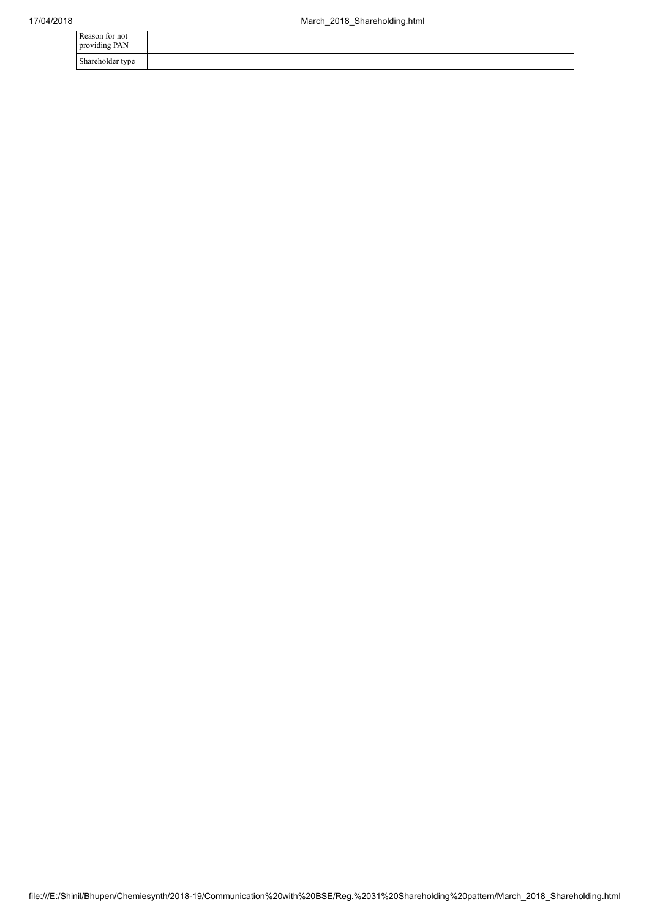| Reason for not<br>providing PAN |  |
|---------------------------------|--|
| Shareholder type                |  |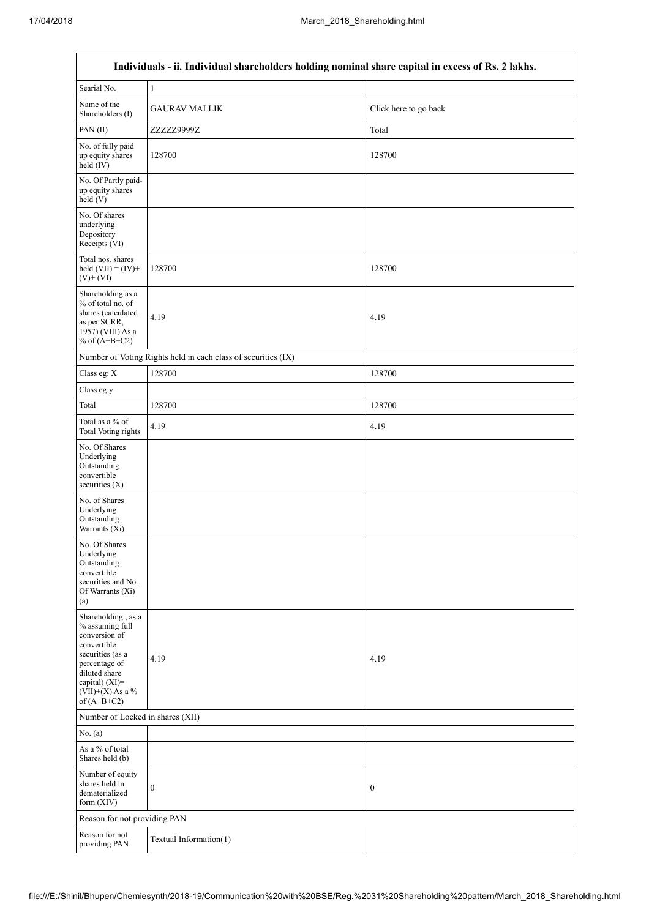$\overline{1}$ 

 $\overline{\mathsf{I}}$ 

| Individuals - ii. Individual shareholders holding nominal share capital in excess of Rs. 2 lakhs.                                                                                    |                                                               |                       |  |  |
|--------------------------------------------------------------------------------------------------------------------------------------------------------------------------------------|---------------------------------------------------------------|-----------------------|--|--|
| Searial No.                                                                                                                                                                          | $\mathbf{1}$                                                  |                       |  |  |
| Name of the<br>Shareholders (I)                                                                                                                                                      | <b>GAURAV MALLIK</b>                                          | Click here to go back |  |  |
| PAN(II)                                                                                                                                                                              | ZZZZZ9999Z<br>Total                                           |                       |  |  |
| No. of fully paid<br>up equity shares<br>held (IV)                                                                                                                                   | 128700                                                        | 128700                |  |  |
| No. Of Partly paid-<br>up equity shares<br>held (V)                                                                                                                                  |                                                               |                       |  |  |
| No. Of shares<br>underlying<br>Depository<br>Receipts (VI)                                                                                                                           |                                                               |                       |  |  |
| Total nos. shares<br>held $(VII) = (IV) +$<br>$(V)+(VI)$                                                                                                                             | 128700                                                        | 128700                |  |  |
| Shareholding as a<br>% of total no. of<br>shares (calculated<br>as per SCRR,<br>1957) (VIII) As a<br>% of $(A+B+C2)$                                                                 | 4.19                                                          | 4.19                  |  |  |
|                                                                                                                                                                                      | Number of Voting Rights held in each class of securities (IX) |                       |  |  |
| Class eg: X                                                                                                                                                                          | 128700                                                        | 128700                |  |  |
| Class eg:y                                                                                                                                                                           |                                                               |                       |  |  |
| Total                                                                                                                                                                                | 128700                                                        | 128700                |  |  |
| Total as a % of<br><b>Total Voting rights</b>                                                                                                                                        | 4.19                                                          | 4.19                  |  |  |
| No. Of Shares<br>Underlying<br>Outstanding<br>convertible<br>securities $(X)$                                                                                                        |                                                               |                       |  |  |
| No. of Shares<br>Underlying<br>Outstanding<br>Warrants (Xi)                                                                                                                          |                                                               |                       |  |  |
| No. Of Shares<br>Underlying<br>Outstanding<br>convertible<br>securities and No.<br>Of Warrants (Xi)<br>(a)                                                                           |                                                               |                       |  |  |
| Shareholding, as a<br>% assuming full<br>conversion of<br>convertible<br>securities (as a<br>percentage of<br>diluted share<br>capital) (XI)=<br>$(VII)+(X)$ As a %<br>of $(A+B+C2)$ | 4.19                                                          | 4.19                  |  |  |
| Number of Locked in shares (XII)                                                                                                                                                     |                                                               |                       |  |  |
| No. (a)                                                                                                                                                                              |                                                               |                       |  |  |
| As a % of total<br>Shares held (b)                                                                                                                                                   |                                                               |                       |  |  |
| Number of equity<br>shares held in<br>dematerialized<br>form (XIV)                                                                                                                   | $\boldsymbol{0}$                                              | $\boldsymbol{0}$      |  |  |
| Reason for not providing PAN                                                                                                                                                         |                                                               |                       |  |  |
| Reason for not<br>providing PAN                                                                                                                                                      | Textual Information(1)                                        |                       |  |  |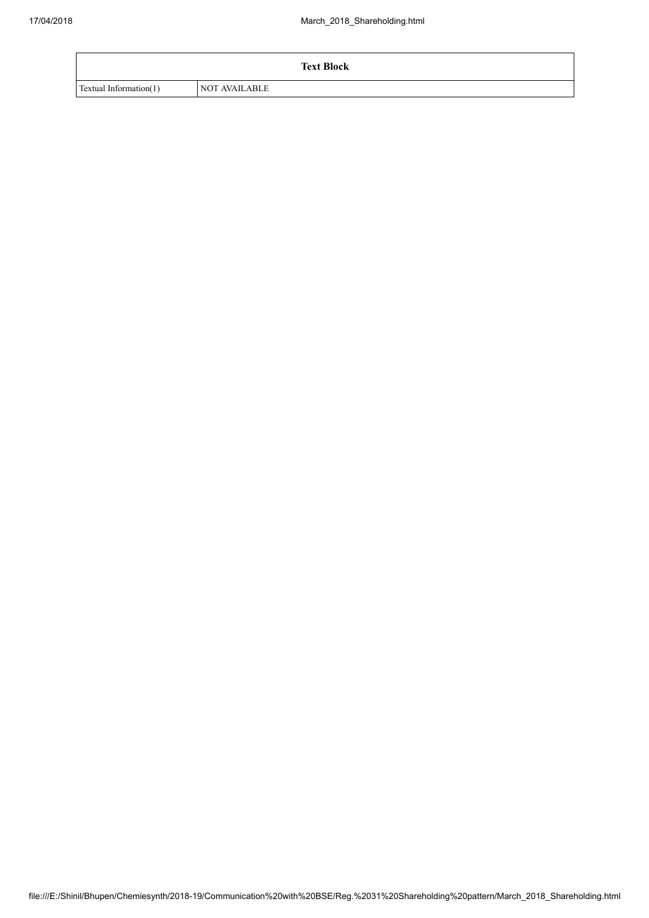|                        | <b>Text Block</b>    |
|------------------------|----------------------|
| Textual Information(1) | <b>NOT AVAILABLE</b> |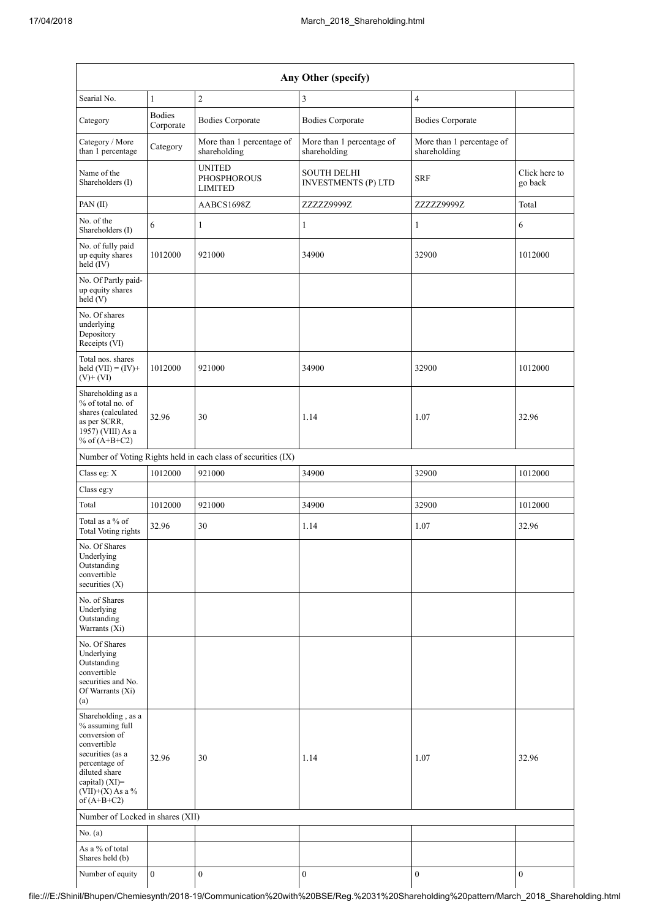| Any Other (specify)                                                                                                                                                                     |                            |                                                               |                                                  |                                           |                          |
|-----------------------------------------------------------------------------------------------------------------------------------------------------------------------------------------|----------------------------|---------------------------------------------------------------|--------------------------------------------------|-------------------------------------------|--------------------------|
| Searial No.                                                                                                                                                                             | $\mathbf{1}$               | $\overline{c}$                                                | $\mathfrak{Z}$                                   | $\overline{4}$                            |                          |
| Category                                                                                                                                                                                | <b>Bodies</b><br>Corporate | <b>Bodies Corporate</b>                                       | <b>Bodies Corporate</b>                          | <b>Bodies Corporate</b>                   |                          |
| Category / More<br>than 1 percentage                                                                                                                                                    | Category                   | More than 1 percentage of<br>shareholding                     | More than 1 percentage of<br>shareholding        | More than 1 percentage of<br>shareholding |                          |
| Name of the<br>Shareholders (I)                                                                                                                                                         |                            | <b>UNITED</b><br><b>PHOSPHOROUS</b><br><b>LIMITED</b>         | <b>SOUTH DELHI</b><br><b>INVESTMENTS (P) LTD</b> | <b>SRF</b>                                | Click here to<br>go back |
| PAN(II)                                                                                                                                                                                 |                            | AABCS1698Z                                                    | ZZZZZ9999Z                                       | ZZZZZ9999Z                                | Total                    |
| No. of the<br>Shareholders (I)                                                                                                                                                          | 6                          | $\mathbf{1}$                                                  | $\mathbf{1}$                                     | $\mathbf{1}$                              | 6                        |
| No. of fully paid<br>up equity shares<br>$\text{held} (IV)$                                                                                                                             | 1012000                    | 921000                                                        | 34900                                            | 32900                                     | 1012000                  |
| No. Of Partly paid-<br>up equity shares<br>held (V)                                                                                                                                     |                            |                                                               |                                                  |                                           |                          |
| No. Of shares<br>underlying<br>Depository<br>Receipts (VI)                                                                                                                              |                            |                                                               |                                                  |                                           |                          |
| Total nos. shares<br>held $(VII) = (IV) +$<br>$(V)+(VI)$                                                                                                                                | 1012000                    | 921000                                                        | 34900                                            | 32900                                     | 1012000                  |
| Shareholding as a<br>% of total no. of<br>shares (calculated<br>as per SCRR,<br>1957) (VIII) As a<br>% of $(A+B+C2)$                                                                    | 32.96                      | 30                                                            | 1.14                                             | 1.07                                      | 32.96                    |
|                                                                                                                                                                                         |                            | Number of Voting Rights held in each class of securities (IX) |                                                  |                                           |                          |
| Class eg: X                                                                                                                                                                             | 1012000                    | 921000                                                        | 34900                                            | 32900                                     | 1012000                  |
| Class eg:y                                                                                                                                                                              |                            |                                                               |                                                  |                                           |                          |
| Total                                                                                                                                                                                   | 1012000                    | 921000                                                        | 34900                                            | 32900                                     | 1012000                  |
| Total as a % of<br>Total Voting rights                                                                                                                                                  | 32.96                      | 30                                                            | 1.14                                             | 1.07                                      | 32.96                    |
| No. Of Shares<br>Underlying<br>Outstanding<br>convertible<br>securities $(X)$                                                                                                           |                            |                                                               |                                                  |                                           |                          |
| No. of Shares<br>Underlying<br>Outstanding<br>Warrants (Xi)                                                                                                                             |                            |                                                               |                                                  |                                           |                          |
| No. Of Shares<br>Underlying<br>Outstanding<br>convertible<br>securities and No.<br>Of Warrants (Xi)<br>(a)                                                                              |                            |                                                               |                                                  |                                           |                          |
| Shareholding, as a<br>% assuming full<br>conversion of<br>convertible<br>securities (as a<br>percentage of<br>diluted share<br>capital) $(XI)$ =<br>$(VII)+(X)$ As a %<br>of $(A+B+C2)$ | 32.96                      | 30                                                            | 1.14                                             | 1.07                                      | 32.96                    |
| Number of Locked in shares (XII)                                                                                                                                                        |                            |                                                               |                                                  |                                           |                          |
| No. (a)                                                                                                                                                                                 |                            |                                                               |                                                  |                                           |                          |
| As a % of total<br>Shares held (b)                                                                                                                                                      |                            |                                                               |                                                  |                                           |                          |
| Number of equity                                                                                                                                                                        | $\overline{0}$             | $\boldsymbol{0}$                                              | $\boldsymbol{0}$                                 | $\boldsymbol{0}$                          | $\boldsymbol{0}$         |

file:///E:/Shinil/Bhupen/Chemiesynth/2018-19/Communication%20with%20BSE/Reg.%2031%20Shareholding%20pattern/March\_2018\_Shareholding.html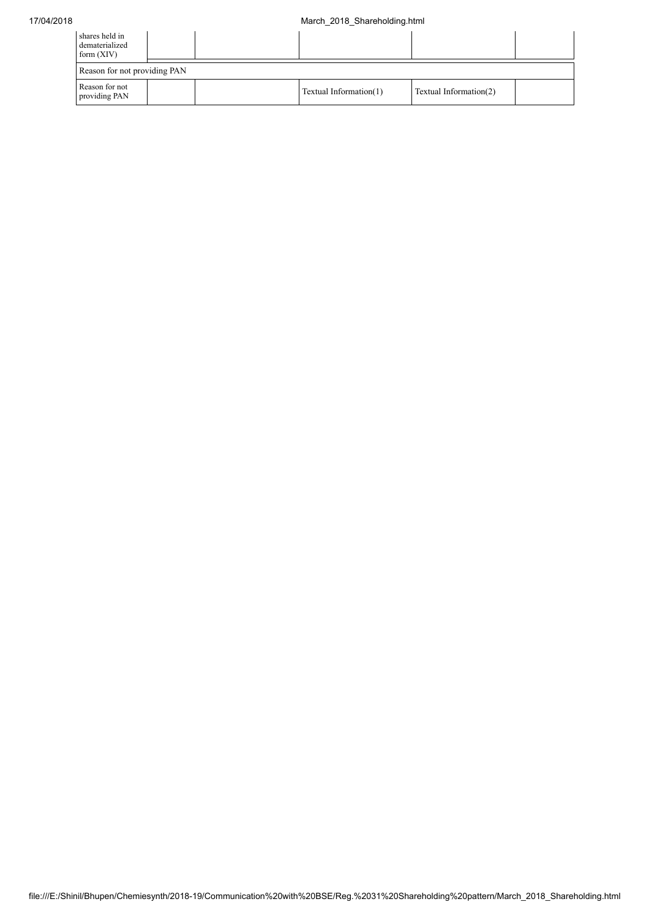| shares held in<br>dematerialized<br>form $(XIV)$ |  |  |                        |                        |  |
|--------------------------------------------------|--|--|------------------------|------------------------|--|
| Reason for not providing PAN                     |  |  |                        |                        |  |
| Reason for not<br>providing PAN                  |  |  | Textual Information(1) | Textual Information(2) |  |